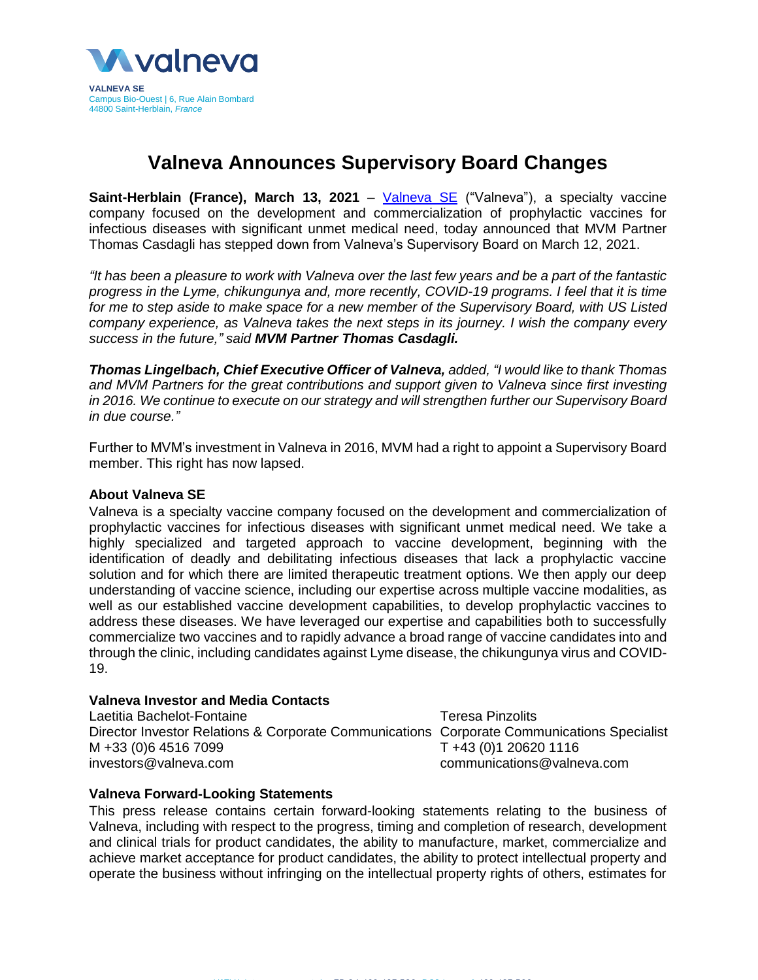

## **Valneva Announces Supervisory Board Changes**

**Saint-Herblain (France), March 13, 2021** – *[Valneva SE](http://www.valneva.com/)* ("Valneva"), a specialty vaccine company focused on the development and commercialization of prophylactic vaccines for infectious diseases with significant unmet medical need, today announced that MVM Partner Thomas Casdagli has stepped down from Valneva's Supervisory Board on March 12, 2021.

*"It has been a pleasure to work with Valneva over the last few years and be a part of the fantastic progress in the Lyme, chikungunya and, more recently, COVID-19 programs. I feel that it is time for me to step aside to make space for a new member of the Supervisory Board, with US Listed company experience, as Valneva takes the next steps in its journey. I wish the company every success in the future," said MVM Partner Thomas Casdagli.*

*Thomas Lingelbach, Chief Executive Officer of Valneva, added, "I would like to thank Thomas and MVM Partners for the great contributions and support given to Valneva since first investing in 2016. We continue to execute on our strategy and will strengthen further our Supervisory Board in due course."* 

Further to MVM's investment in Valneva in 2016, MVM had a right to appoint a Supervisory Board member. This right has now lapsed.

## **About Valneva SE**

Valneva is a specialty vaccine company focused on the development and commercialization of prophylactic vaccines for infectious diseases with significant unmet medical need. We take a highly specialized and targeted approach to vaccine development, beginning with the identification of deadly and debilitating infectious diseases that lack a prophylactic vaccine solution and for which there are limited therapeutic treatment options. We then apply our deep understanding of vaccine science, including our expertise across multiple vaccine modalities, as well as our established vaccine development capabilities, to develop prophylactic vaccines to address these diseases. We have leveraged our expertise and capabilities both to successfully commercialize two vaccines and to rapidly advance a broad range of vaccine candidates into and through the clinic, including candidates against Lyme disease, the chikungunya virus and COVID-19.

## **Valneva Investor and Media Contacts**

Laetitia Bachelot-Fontaine Director Investor Relations & Corporate Communications Corporate Communications Specialist M +33 (0)6 4516 7099 investors@valneva.com

Teresa Pinzolits T +43 (0)1 20620 1116 communications@valneva.com

## **Valneva Forward-Looking Statements**

This press release contains certain forward-looking statements relating to the business of Valneva, including with respect to the progress, timing and completion of research, development and clinical trials for product candidates, the ability to manufacture, market, commercialize and achieve market acceptance for product candidates, the ability to protect intellectual property and operate the business without infringing on the intellectual property rights of others, estimates for